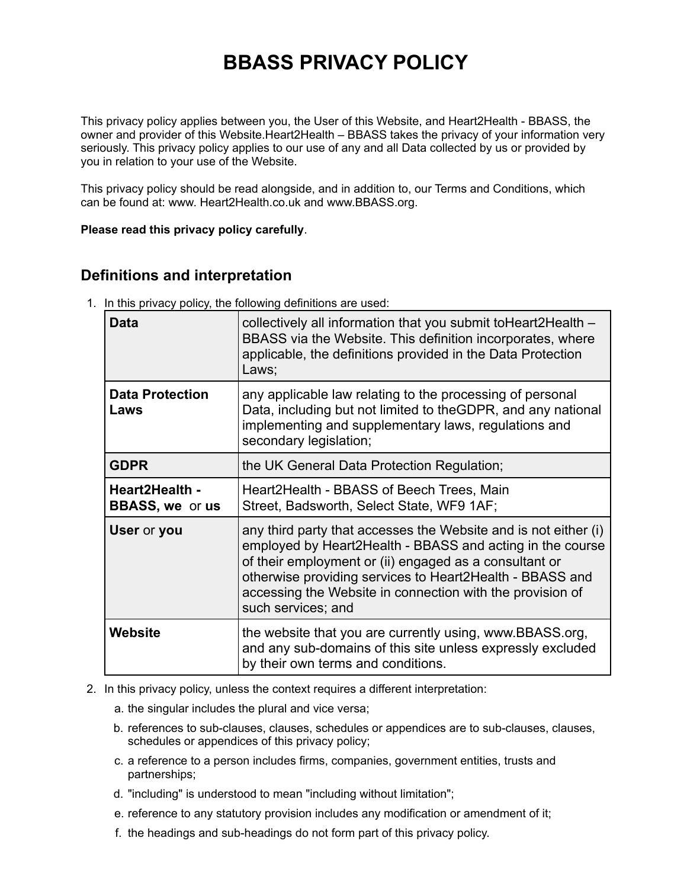# **BBASS PRIVACY POLICY**

This privacy policy applies between you, the User of this Website, and Heart2Health - BBASS, the owner and provider of this Website.Heart2Health – BBASS takes the privacy of your information very seriously. This privacy policy applies to our use of any and all Data collected by us or provided by you in relation to your use of the Website.

This privacy policy should be read alongside, and in addition to, our Terms and Conditions, which can be found at: www. Heart2Health.co.uk and www.BBASS.org.

**Please read this privacy policy carefully**.

#### **Definitions and interpretation**

1. In this privacy policy, the following definitions are used:

| Data                                     | collectively all information that you submit to Heart2 Health -<br>BBASS via the Website. This definition incorporates, where<br>applicable, the definitions provided in the Data Protection<br>Laws;                                                                                                                                 |
|------------------------------------------|---------------------------------------------------------------------------------------------------------------------------------------------------------------------------------------------------------------------------------------------------------------------------------------------------------------------------------------|
| <b>Data Protection</b><br>Laws           | any applicable law relating to the processing of personal<br>Data, including but not limited to theGDPR, and any national<br>implementing and supplementary laws, regulations and<br>secondary legislation;                                                                                                                           |
| <b>GDPR</b>                              | the UK General Data Protection Regulation;                                                                                                                                                                                                                                                                                            |
| Heart2Health -<br><b>BBASS, we or us</b> | Heart2Health - BBASS of Beech Trees, Main<br>Street, Badsworth, Select State, WF9 1AF;                                                                                                                                                                                                                                                |
| User or you                              | any third party that accesses the Website and is not either (i)<br>employed by Heart2Health - BBASS and acting in the course<br>of their employment or (ii) engaged as a consultant or<br>otherwise providing services to Heart2Health - BBASS and<br>accessing the Website in connection with the provision of<br>such services; and |
| <b>Website</b>                           | the website that you are currently using, www.BBASS.org,<br>and any sub-domains of this site unless expressly excluded<br>by their own terms and conditions.                                                                                                                                                                          |

- 2. In this privacy policy, unless the context requires a different interpretation:
	- a. the singular includes the plural and vice versa;
	- b. references to sub-clauses, clauses, schedules or appendices are to sub-clauses, clauses, schedules or appendices of this privacy policy;
	- c. a reference to a person includes firms, companies, government entities, trusts and partnerships;
	- d. "including" is understood to mean "including without limitation";
	- e. reference to any statutory provision includes any modification or amendment of it;
	- f. the headings and sub-headings do not form part of this privacy policy.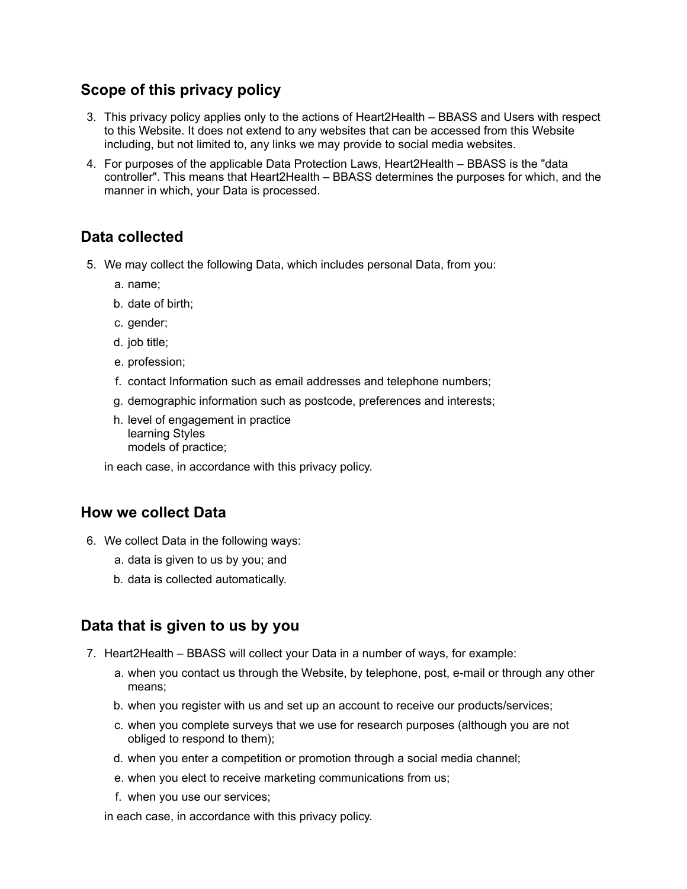## **Scope of this privacy policy**

- 3. This privacy policy applies only to the actions of Heart2Health BBASS and Users with respect to this Website. It does not extend to any websites that can be accessed from this Website including, but not limited to, any links we may provide to social media websites.
- 4. For purposes of the applicable Data Protection Laws, Heart2Health BBASS is the "data controller". This means that Heart2Health – BBASS determines the purposes for which, and the manner in which, your Data is processed.

# **Data collected**

- 5. We may collect the following Data, which includes personal Data, from you:
	- a. name;
	- b. date of birth;
	- c. gender;
	- d. job title;
	- e. profession;
	- f. contact Information such as email addresses and telephone numbers;
	- g. demographic information such as postcode, preferences and interests;
	- h. level of engagement in practice learning Styles models of practice;

in each case, in accordance with this privacy policy.

#### **How we collect Data**

- 6. We collect Data in the following ways:
	- a. data is given to us by you; and
	- b. data is collected automatically.

# **Data that is given to us by you**

- 7. Heart2Health BBASS will collect your Data in a number of ways, for example:
	- a. when you contact us through the Website, by telephone, post, e-mail or through any other means;
	- b. when you register with us and set up an account to receive our products/services;
	- c. when you complete surveys that we use for research purposes (although you are not obliged to respond to them);
	- d. when you enter a competition or promotion through a social media channel;
	- e. when you elect to receive marketing communications from us;
	- f. when you use our services;

in each case, in accordance with this privacy policy.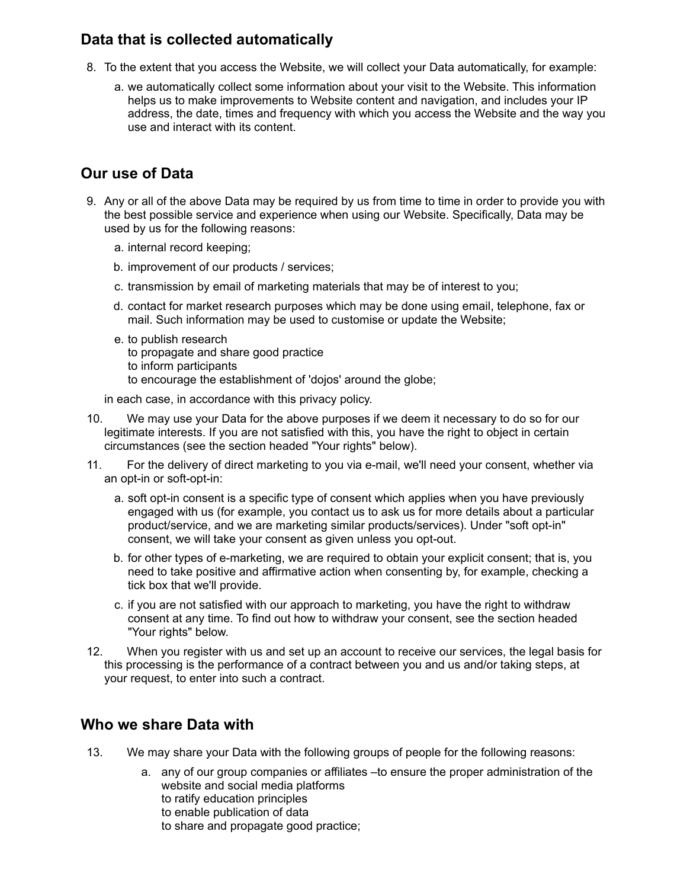## **Data that is collected automatically**

- 8. To the extent that you access the Website, we will collect your Data automatically, for example:
	- a. we automatically collect some information about your visit to the Website. This information helps us to make improvements to Website content and navigation, and includes your IP address, the date, times and frequency with which you access the Website and the way you use and interact with its content.

# **Our use of Data**

- 9. Any or all of the above Data may be required by us from time to time in order to provide you with the best possible service and experience when using our Website. Specifically, Data may be used by us for the following reasons:
	- a. internal record keeping;
	- b. improvement of our products / services;
	- c. transmission by email of marketing materials that may be of interest to you;
	- d. contact for market research purposes which may be done using email, telephone, fax or mail. Such information may be used to customise or update the Website;
	- e. to publish research
		- to propagate and share good practice
		- to inform participants
		- to encourage the establishment of 'dojos' around the globe;

in each case, in accordance with this privacy policy.

- 10. We may use your Data for the above purposes if we deem it necessary to do so for our legitimate interests. If you are not satisfied with this, you have the right to object in certain circumstances (see the section headed "Your rights" below).
- 11. For the delivery of direct marketing to you via e-mail, we'll need your consent, whether via an opt-in or soft-opt-in:
	- a. soft opt-in consent is a specific type of consent which applies when you have previously engaged with us (for example, you contact us to ask us for more details about a particular product/service, and we are marketing similar products/services). Under "soft opt-in" consent, we will take your consent as given unless you opt-out.
	- b. for other types of e-marketing, we are required to obtain your explicit consent; that is, you need to take positive and affirmative action when consenting by, for example, checking a tick box that we'll provide.
	- c. if you are not satisfied with our approach to marketing, you have the right to withdraw consent at any time. To find out how to withdraw your consent, see the section headed "Your rights" below.
- 12. When you register with us and set up an account to receive our services, the legal basis for this processing is the performance of a contract between you and us and/or taking steps, at your request, to enter into such a contract.

# **Who we share Data with**

- 13. We may share your Data with the following groups of people for the following reasons:
	- a. any of our group companies or affiliates –to ensure the proper administration of the website and social media platforms to ratify education principles to enable publication of data to share and propagate good practice;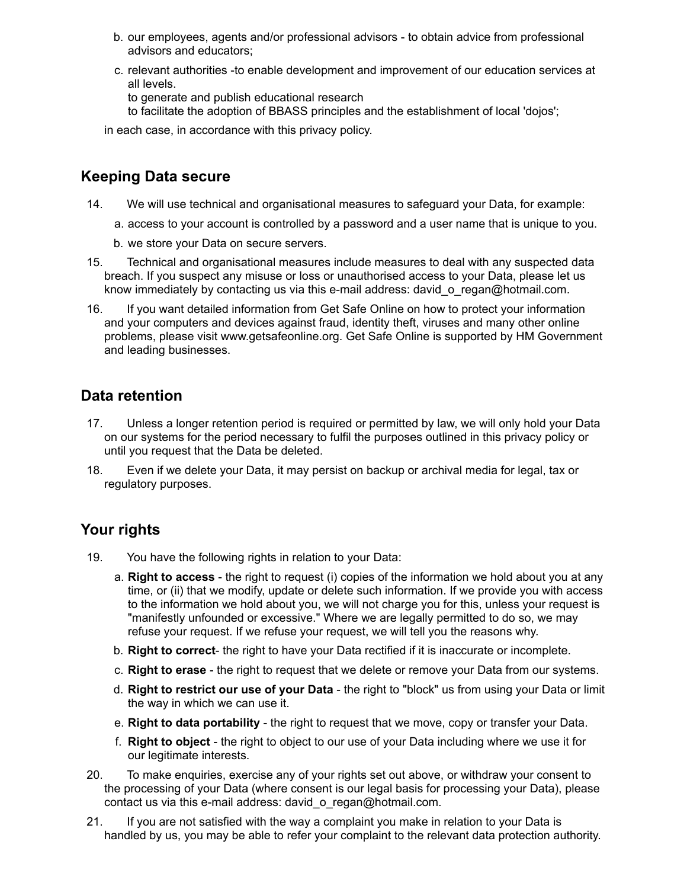- b. our employees, agents and/or professional advisors to obtain advice from professional advisors and educators;
- c. relevant authorities -to enable development and improvement of our education services at all levels.
	- to generate and publish educational research
	- to facilitate the adoption of BBASS principles and the establishment of local 'dojos';

in each case, in accordance with this privacy policy.

#### **Keeping Data secure**

- 14. We will use technical and organisational measures to safeguard your Data, for example:
	- a. access to your account is controlled by a password and a user name that is unique to you.
	- b. we store your Data on secure servers.
- 15. Technical and organisational measures include measures to deal with any suspected data breach. If you suspect any misuse or loss or unauthorised access to your Data, please let us know immediately by contacting us via this e-mail address: david o regan@hotmail.com.
- 16. If you want detailed information from Get Safe Online on how to protect your information and your computers and devices against fraud, identity theft, viruses and many other online problems, please visit www.getsafeonline.org. Get Safe Online is supported by HM Government and leading businesses.

#### **Data retention**

- 17. Unless a longer retention period is required or permitted by law, we will only hold your Data on our systems for the period necessary to fulfil the purposes outlined in this privacy policy or until you request that the Data be deleted.
- 18. Even if we delete your Data, it may persist on backup or archival media for legal, tax or regulatory purposes.

# **Your rights**

- 19. You have the following rights in relation to your Data:
	- a. **Right to access** the right to request (i) copies of the information we hold about you at any time, or (ii) that we modify, update or delete such information. If we provide you with access to the information we hold about you, we will not charge you for this, unless your request is "manifestly unfounded or excessive." Where we are legally permitted to do so, we may refuse your request. If we refuse your request, we will tell you the reasons why.
	- b. **Right to correct** the right to have your Data rectified if it is inaccurate or incomplete.
	- c. **Right to erase** the right to request that we delete or remove your Data from our systems.
	- d. **Right to restrict our use of your Data** the right to "block" us from using your Data or limit the way in which we can use it.
	- e. **Right to data portability** the right to request that we move, copy or transfer your Data.
	- f. **Right to object** the right to object to our use of your Data including where we use it for our legitimate interests.
- 20. To make enquiries, exercise any of your rights set out above, or withdraw your consent to the processing of your Data (where consent is our legal basis for processing your Data), please contact us via this e-mail address: david\_o\_regan@hotmail.com.
- 21. If you are not satisfied with the way a complaint you make in relation to your Data is handled by us, you may be able to refer your complaint to the relevant data protection authority.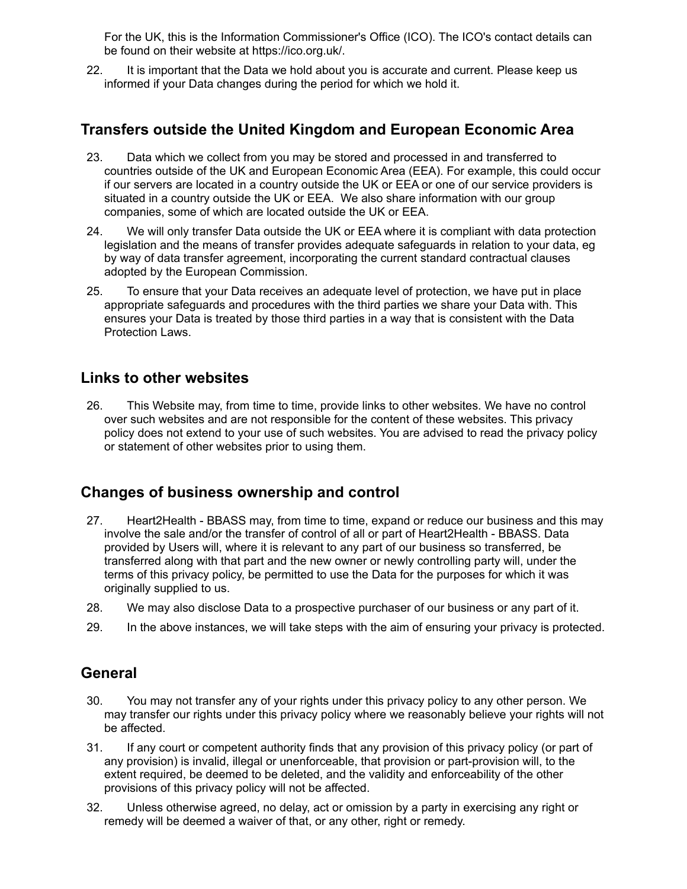For the UK, this is the Information Commissioner's Office (ICO). The ICO's contact details can be found on their website at https://ico.org.uk/.

22. It is important that the Data we hold about you is accurate and current. Please keep us informed if your Data changes during the period for which we hold it.

#### **Transfers outside the United Kingdom and European Economic Area**

- 23. Data which we collect from you may be stored and processed in and transferred to countries outside of the UK and European Economic Area (EEA). For example, this could occur if our servers are located in a country outside the UK or EEA or one of our service providers is situated in a country outside the UK or EEA. We also share information with our group companies, some of which are located outside the UK or EEA.
- 24. We will only transfer Data outside the UK or EEA where it is compliant with data protection legislation and the means of transfer provides adequate safeguards in relation to your data, eg by way of data transfer agreement, incorporating the current standard contractual clauses adopted by the European Commission.
- 25. To ensure that your Data receives an adequate level of protection, we have put in place appropriate safeguards and procedures with the third parties we share your Data with. This ensures your Data is treated by those third parties in a way that is consistent with the Data Protection Laws.

#### **Links to other websites**

26. This Website may, from time to time, provide links to other websites. We have no control over such websites and are not responsible for the content of these websites. This privacy policy does not extend to your use of such websites. You are advised to read the privacy policy or statement of other websites prior to using them.

## **Changes of business ownership and control**

- 27. Heart2Health BBASS may, from time to time, expand or reduce our business and this may involve the sale and/or the transfer of control of all or part of Heart2Health - BBASS. Data provided by Users will, where it is relevant to any part of our business so transferred, be transferred along with that part and the new owner or newly controlling party will, under the terms of this privacy policy, be permitted to use the Data for the purposes for which it was originally supplied to us.
- 28. We may also disclose Data to a prospective purchaser of our business or any part of it.
- 29. In the above instances, we will take steps with the aim of ensuring your privacy is protected.

#### **General**

- 30. You may not transfer any of your rights under this privacy policy to any other person. We may transfer our rights under this privacy policy where we reasonably believe your rights will not be affected.
- 31. If any court or competent authority finds that any provision of this privacy policy (or part of any provision) is invalid, illegal or unenforceable, that provision or part-provision will, to the extent required, be deemed to be deleted, and the validity and enforceability of the other provisions of this privacy policy will not be affected.
- 32. Unless otherwise agreed, no delay, act or omission by a party in exercising any right or remedy will be deemed a waiver of that, or any other, right or remedy.